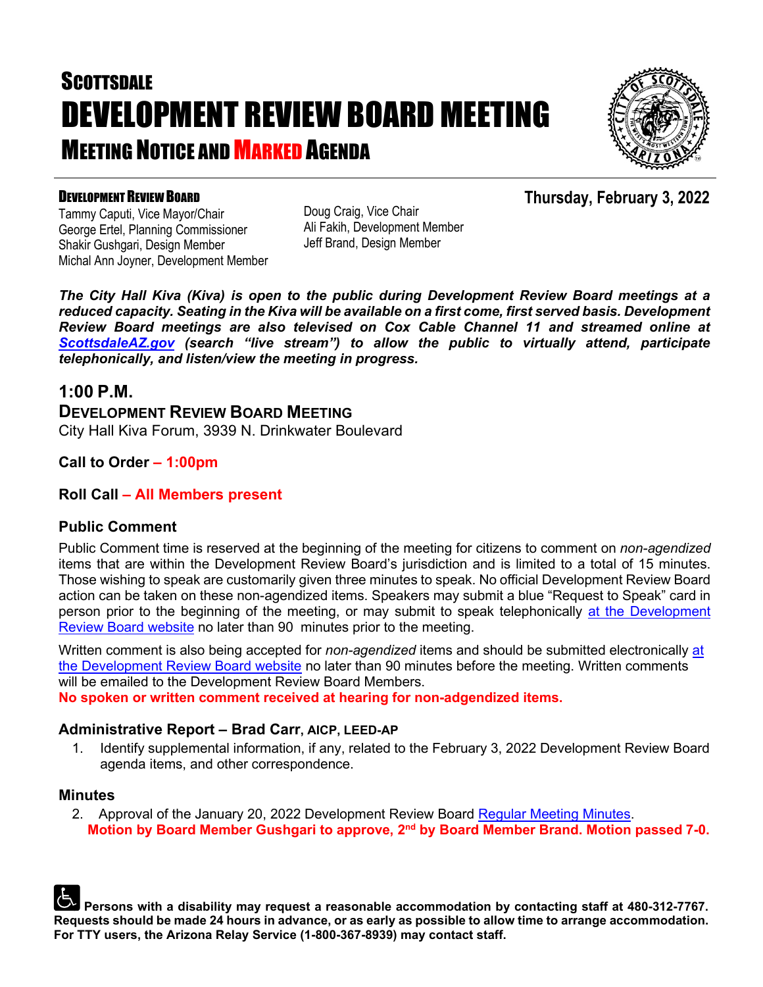# **SCOTTSDALE** DEVELOPMENT REVIEW BOARD MEETING **MEETING NOTICE AND MARKED AGENDA**



**Thursday, February 3, 2022**

### DEVELOPMENT REVIEW BOARD

Tammy Caputi, Vice Mayor/Chair George Ertel, Planning Commissioner Shakir Gushgari, Design Member Michal Ann Joyner, Development Member Doug Craig, Vice Chair Ali Fakih, Development Member Jeff Brand, Design Member

*The City Hall Kiva (Kiva) is open to the public during Development Review Board meetings at a reduced capacity. Seating in the Kiva will be available on a first come, first served basis. Development Review Board meetings are also televised on Cox Cable Channel 11 and streamed online at [ScottsdaleAZ.gov](http://www.scottsdaleaz.gov/) (search "live stream") to allow the public to virtually attend, participate telephonically, and listen/view the meeting in progress.*

### **1:00 P.M.**

**DEVELOPMENT REVIEW BOARD MEETING**  City Hall Kiva Forum, 3939 N. Drinkwater Boulevard

**Call to Order – 1:00pm**

### **Roll Call – All Members present**

### **Public Comment**

Public Comment time is reserved at the beginning of the meeting for citizens to comment on *non-agendized* items that are within the Development Review Board's jurisdiction and is limited to a total of 15 minutes. Those wishing to speak are customarily given three minutes to speak. No official Development Review Board action can be taken on these non-agendized items. Speakers may submit a blue "Request to Speak" card in person prior to the beginning of the meeting, or may submit to speak telephonically [at the Development](https://www.scottsdaleaz.gov/boards/development-review-board/spoken-comment)  [Review Board website](https://www.scottsdaleaz.gov/boards/development-review-board/spoken-comment) no later than 90 minutes prior to the meeting.

Written comment is also being accepted for *non-agendized* items and should be submitted electronically [at](https://www.scottsdaleaz.gov/boards/development-review-board/public-comment)  [the Development Review Board website](https://www.scottsdaleaz.gov/boards/development-review-board/public-comment) no later than 90 minutes before the meeting. Written comments will be emailed to the Development Review Board Members.

**No spoken or written comment received at hearing for non-adgendized items.**

### **Administrative Report – Brad Carr, AICP, LEED-AP**

1. Identify supplemental information, if any, related to the February 3, 2022 Development Review Board agenda items, and other correspondence.

### **Minutes**

2. Approval of the January 20, 2022 Development Review Board [Regular Meeting Minutes.](https://eservices.scottsdaleaz.gov/planning/projectsummary/unrelated_documents/DRB_MEETING_MINUTES_01202022.pdf) **Motion by Board Member Gushgari to approve, 2nd by Board Member Brand. Motion passed 7-0.**

**Persons with a disability may request a reasonable accommodation by contacting staff at 480-312-7767. Requests should be made 24 hours in advance, or as early as possible to allow time to arrange accommodation. For TTY users, the Arizona Relay Service (1-800-367-8939) may contact staff.**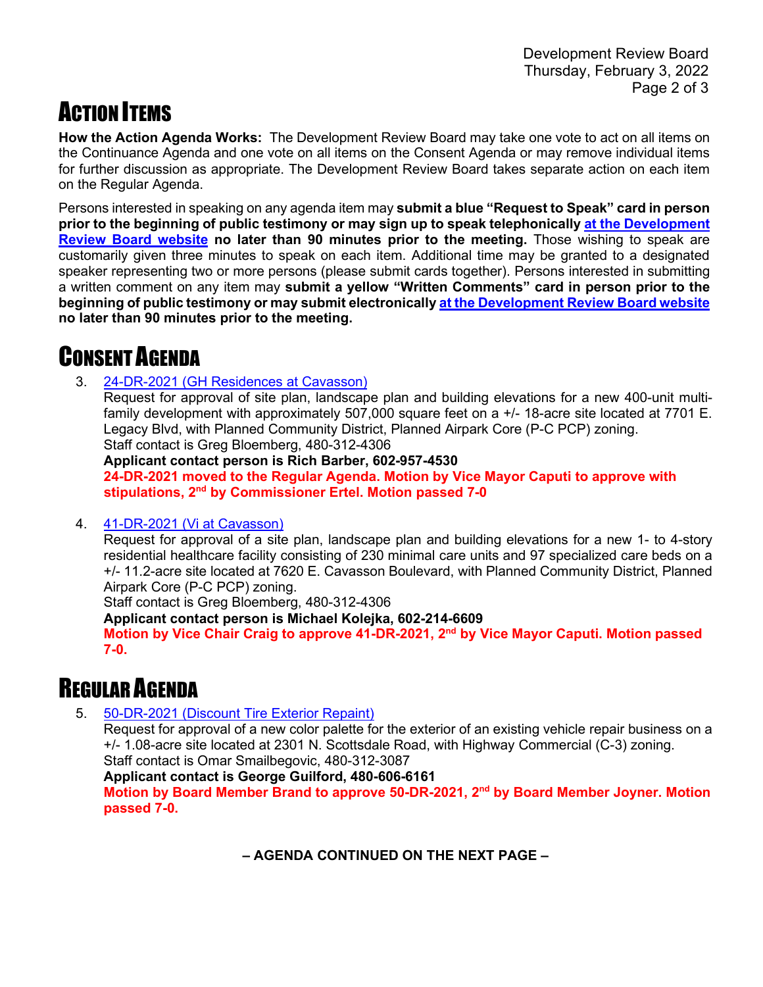## ACTION ITEMS

**How the Action Agenda Works:** The Development Review Board may take one vote to act on all items on the Continuance Agenda and one vote on all items on the Consent Agenda or may remove individual items for further discussion as appropriate. The Development Review Board takes separate action on each item on the Regular Agenda.

Persons interested in speaking on any agenda item may **submit a blue "Request to Speak" card in person prior to the beginning of public testimony or may sign up to speak telephonically [at the Development](https://www.scottsdaleaz.gov/boards/development-review-board/spoken-comment)  [Review Board website](https://www.scottsdaleaz.gov/boards/development-review-board/spoken-comment) no later than 90 minutes prior to the meeting.** Those wishing to speak are customarily given three minutes to speak on each item. Additional time may be granted to a designated speaker representing two or more persons (please submit cards together). Persons interested in submitting a written comment on any item may **submit a yellow "Written Comments" card in person prior to the beginning of public testimony or may submit electronically at [the Development Review Board website](https://www.scottsdaleaz.gov/boards/development-review-board/public-comment) no later than 90 minutes prior to the meeting.**

## CONSENT AGENDA

3. [24-DR-2021 \(GH Residences at Cavasson\)](https://eservices.scottsdaleaz.gov/planning/projectsummary/dr_reports/DR_24_DR_2021.pdf)

Request for approval of site plan, landscape plan and building elevations for a new 400-unit multifamily development with approximately 507,000 square feet on a +/- 18-acre site located at 7701 E. Legacy Blvd, with Planned Community District, Planned Airpark Core (P-C PCP) zoning. Staff contact is Greg Bloemberg, 480-312-4306

**Applicant contact person is Rich Barber, 602-957-4530 24-DR-2021 moved to the Regular Agenda. Motion by Vice Mayor Caputi to approve with stipulations, 2nd by Commissioner Ertel. Motion passed 7-0**

### 4. [41-DR-2021 \(Vi at Cavasson\)](https://eservices.scottsdaleaz.gov/planning/projectsummary/dr_reports/DR_41_DR_2021.pdf)

Request for approval of a site plan, landscape plan and building elevations for a new 1- to 4-story residential healthcare facility consisting of 230 minimal care units and 97 specialized care beds on a +/- 11.2-acre site located at 7620 E. Cavasson Boulevard, with Planned Community District, Planned Airpark Core (P-C PCP) zoning.

Staff contact is Greg Bloemberg, 480-312-4306

**Applicant contact person is Michael Kolejka, 602-214-6609**

**Motion by Vice Chair Craig to approve 41-DR-2021, 2nd by Vice Mayor Caputi. Motion passed 7-0.**

### REGULAR AGENDA

5. [50-DR-2021 \(Discount Tire Exterior Repaint\)](https://eservices.scottsdaleaz.gov/planning/projectsummary/dr_reports/DR_50_DR_2021.pdf)

Request for approval of a new color palette for the exterior of an existing vehicle repair business on a +/- 1.08-acre site located at 2301 N. Scottsdale Road, with Highway Commercial (C-3) zoning. Staff contact is Omar Smailbegovic, 480-312-3087

**Applicant contact is George Guilford, 480-606-6161**

**Motion by Board Member Brand to approve 50-DR-2021, 2nd by Board Member Joyner. Motion passed 7-0.**

 **– AGENDA CONTINUED ON THE NEXT PAGE –**